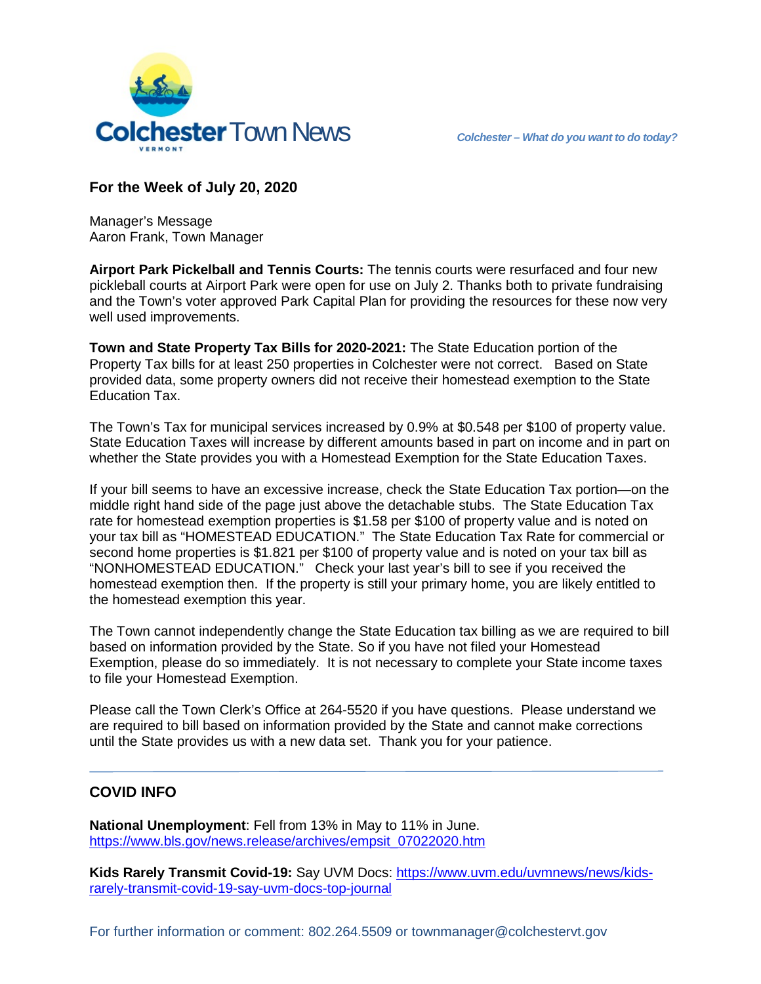

## **For the Week of July 20, 2020**

Manager's Message Aaron Frank, Town Manager

**Airport Park Pickelball and Tennis Courts:** The tennis courts were resurfaced and four new pickleball courts at Airport Park were open for use on July 2. Thanks both to private fundraising and the Town's voter approved Park Capital Plan for providing the resources for these now very well used improvements.

**Town and State Property Tax Bills for 2020-2021:** The State Education portion of the Property Tax bills for at least 250 properties in Colchester were not correct. Based on State provided data, some property owners did not receive their homestead exemption to the State Education Tax.

The Town's Tax for municipal services increased by 0.9% at \$0.548 per \$100 of property value. State Education Taxes will increase by different amounts based in part on income and in part on whether the State provides you with a Homestead Exemption for the State Education Taxes.

If your bill seems to have an excessive increase, check the State Education Tax portion—on the middle right hand side of the page just above the detachable stubs. The State Education Tax rate for homestead exemption properties is \$1.58 per \$100 of property value and is noted on your tax bill as "HOMESTEAD EDUCATION." The State Education Tax Rate for commercial or second home properties is \$1.821 per \$100 of property value and is noted on your tax bill as "NONHOMESTEAD EDUCATION." Check your last year's bill to see if you received the homestead exemption then. If the property is still your primary home, you are likely entitled to the homestead exemption this year.

The Town cannot independently change the State Education tax billing as we are required to bill based on information provided by the State. So if you have not filed your Homestead Exemption, please do so immediately. It is not necessary to complete your State income taxes to file your Homestead Exemption.

Please call the Town Clerk's Office at 264-5520 if you have questions. Please understand we are required to bill based on information provided by the State and cannot make corrections until the State provides us with a new data set. Thank you for your patience.

## **COVID INFO**

**National Unemployment**: Fell from 13% in May to 11% in June. [https://www.bls.gov/news.release/archives/empsit\\_07022020.htm](https://www.bls.gov/news.release/archives/empsit_07022020.htm)

**Kids Rarely Transmit Covid-19:** Say UVM Docs: [https://www.uvm.edu/uvmnews/news/kids](https://www.uvm.edu/uvmnews/news/kids-rarely-transmit-covid-19-say-uvm-docs-top-journal)[rarely-transmit-covid-19-say-uvm-docs-top-journal](https://www.uvm.edu/uvmnews/news/kids-rarely-transmit-covid-19-say-uvm-docs-top-journal)

For further information or comment: 802.264.5509 or townmanager@colchestervt.gov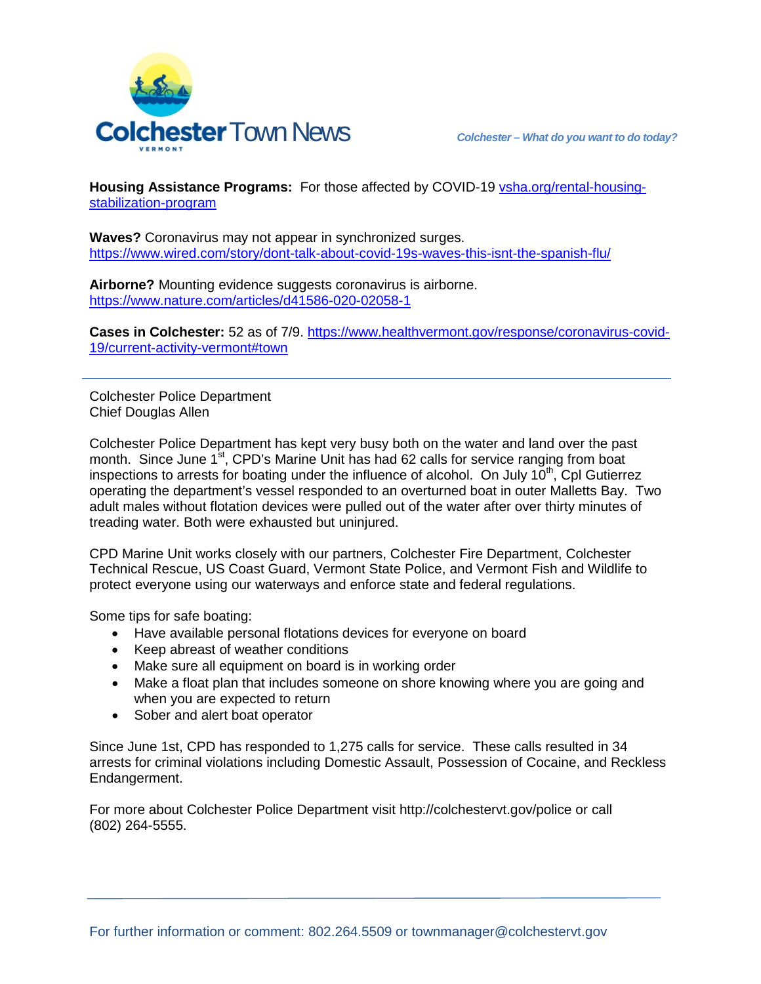

**Housing Assistance Programs:** For those affected by COVID-19 [vsha.org/rental-housing](http://www.vsha.org/rental-housing-stabilization-program)[stabilization-program](http://www.vsha.org/rental-housing-stabilization-program)

**Waves?** Coronavirus may not appear in synchronized surges. <https://www.wired.com/story/dont-talk-about-covid-19s-waves-this-isnt-the-spanish-flu/>

**Airborne?** Mounting evidence suggests coronavirus is airborne. <https://www.nature.com/articles/d41586-020-02058-1>

**Cases in Colchester:** 52 as of 7/9. [https://www.healthvermont.gov/response/coronavirus-covid-](https://www.healthvermont.gov/response/coronavirus-covid-19/current-activity-vermont#town)[19/current-activity-vermont#town](https://www.healthvermont.gov/response/coronavirus-covid-19/current-activity-vermont#town)

Colchester Police Department Chief Douglas Allen

Colchester Police Department has kept very busy both on the water and land over the past month. Since June 1<sup>st</sup>, CPD's Marine Unit has had 62 calls for service ranging from boat inspections to arrests for boating under the influence of alcohol. On July  $10<sup>th</sup>$ , Cpl Gutierrez operating the department's vessel responded to an overturned boat in outer Malletts Bay. Two adult males without flotation devices were pulled out of the water after over thirty minutes of treading water. Both were exhausted but uninjured.

CPD Marine Unit works closely with our partners, Colchester Fire Department, Colchester Technical Rescue, US Coast Guard, Vermont State Police, and Vermont Fish and Wildlife to protect everyone using our waterways and enforce state and federal regulations.

Some tips for safe boating:

- Have available personal flotations devices for everyone on board
- Keep abreast of weather conditions
- Make sure all equipment on board is in working order
- Make a float plan that includes someone on shore knowing where you are going and when you are expected to return
- Sober and alert boat operator

Since June 1st, CPD has responded to 1,275 calls for service. These calls resulted in 34 arrests for criminal violations including Domestic Assault, Possession of Cocaine, and Reckless Endangerment.

For more about Colchester Police Department visit http://colchestervt.gov/police or call (802) 264-5555.